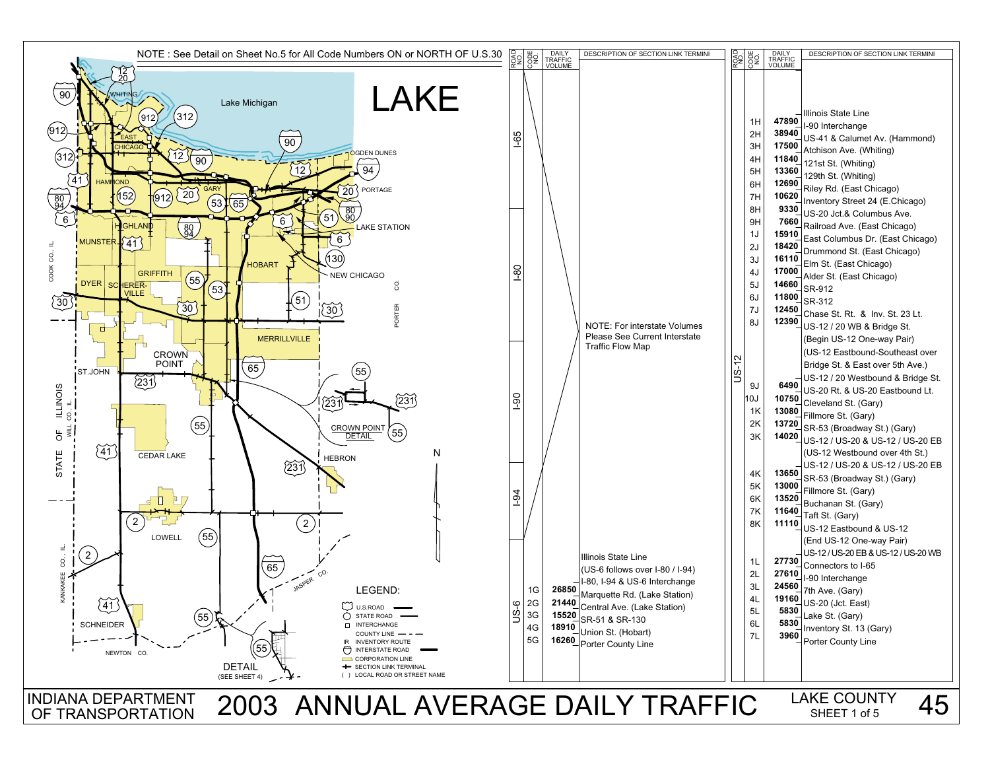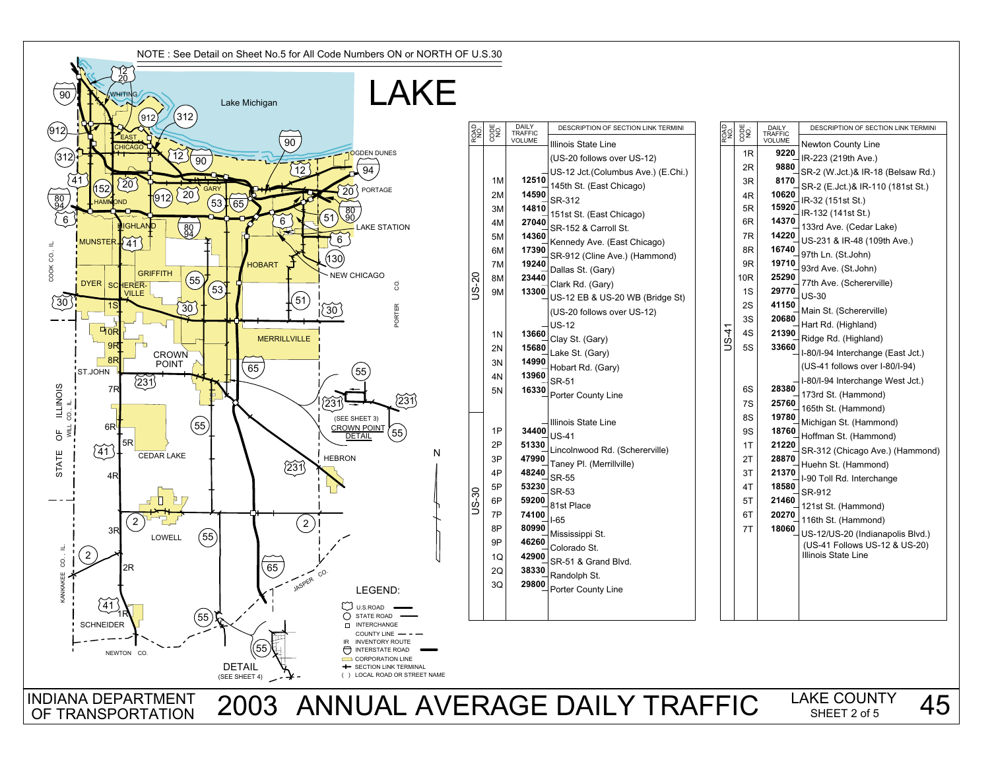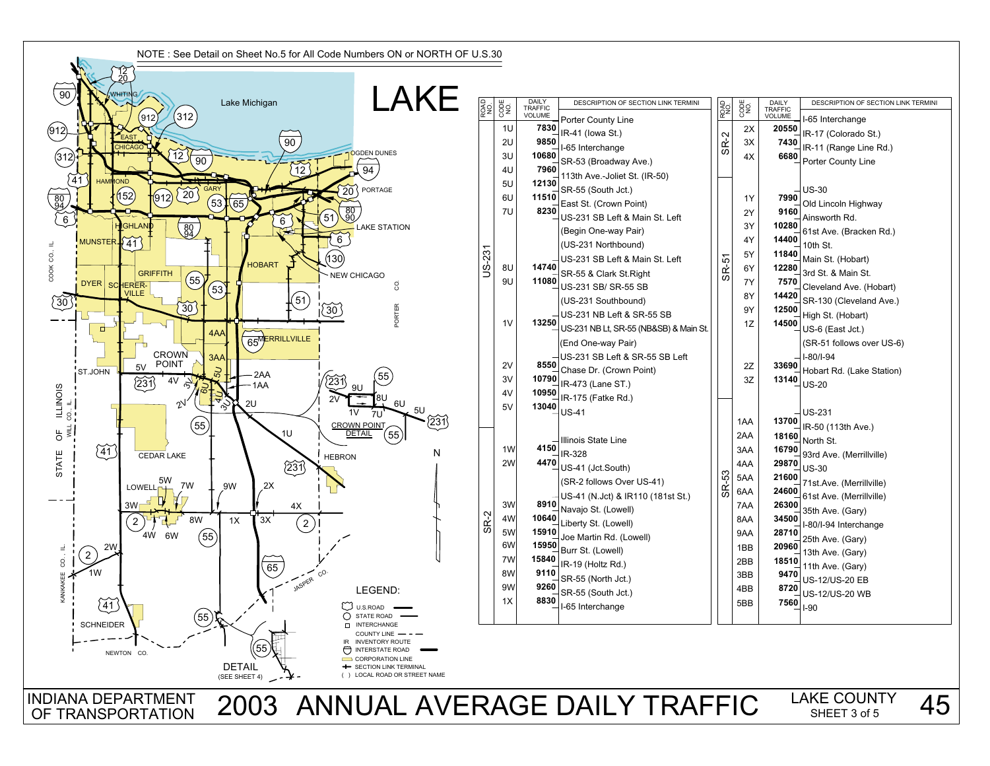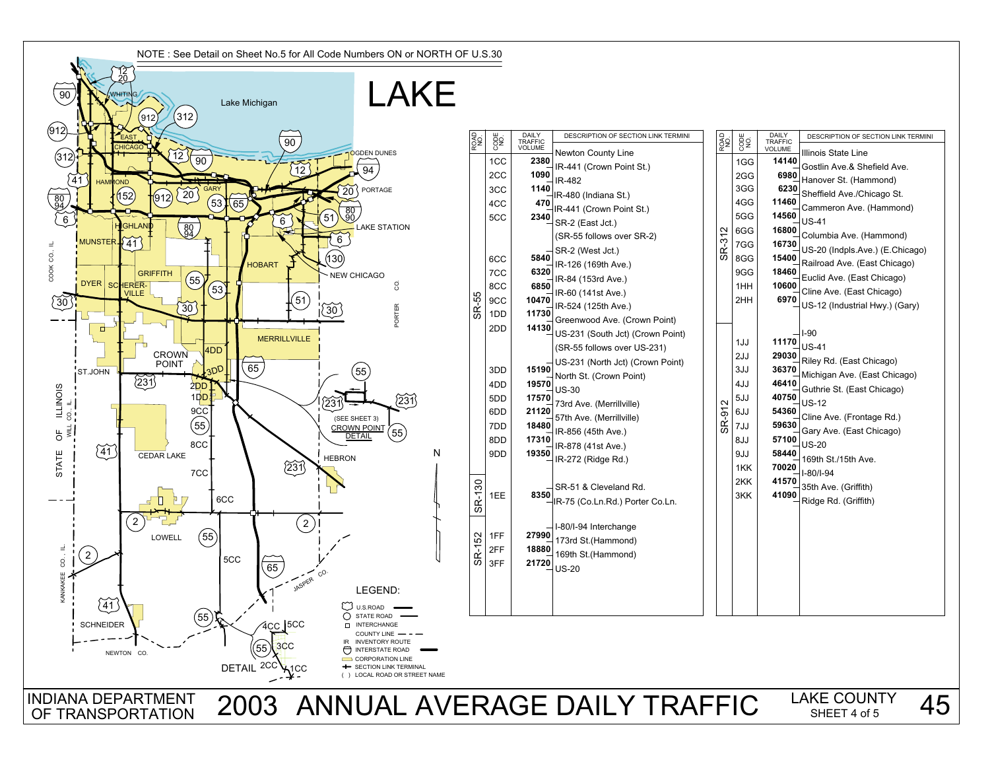